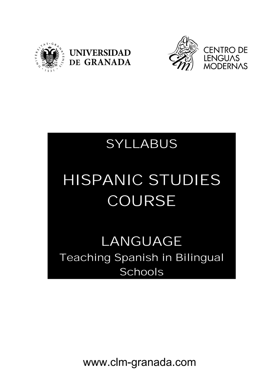





## SYLLABUS

# HISPANIC STUDIES COURSE

### LANGUAGE Teaching Spanish in Bilingual **Schools**

www.clm-granada.com